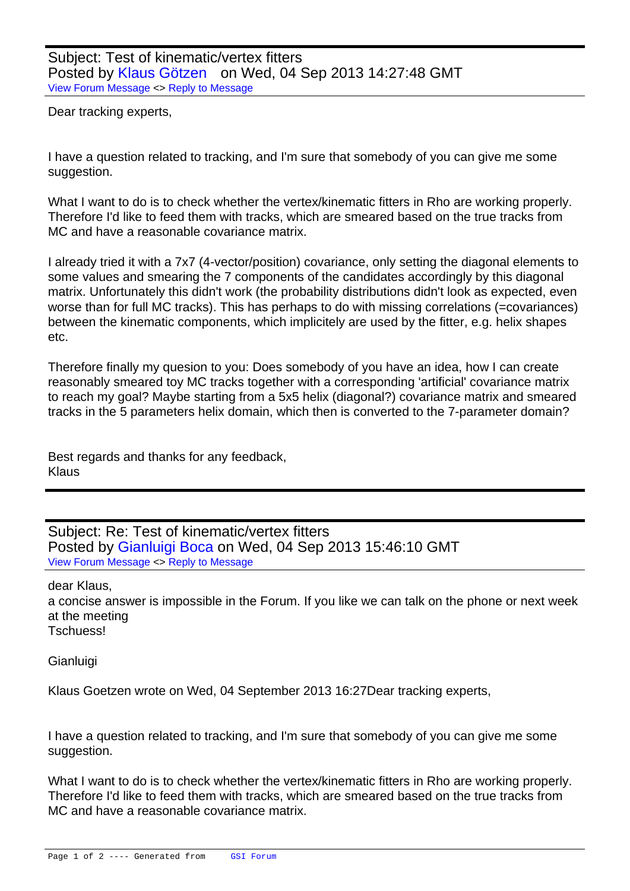Dear tracking experts,

I have a question related to tracking, and I'm sure that somebody of you can give me some suggestion.

What I want to do is to check whether the vertex/kinematic fitters in Rho are working properly. Therefore I'd like to feed them with tracks, which are smeared based on the true tracks from MC and have a reasonable covariance matrix.

I already tried it with a 7x7 (4-vector/position) covariance, only setting the diagonal elements to some values and smearing the 7 components of the candidates accordingly by this diagonal matrix. Unfortunately this didn't work (the probability distributions didn't look as expected, even worse than for full MC tracks). This has perhaps to do with missing correlations (=covariances) between the kinematic components, which implicitely are used by the fitter, e.g. helix shapes etc.

Therefore finally my quesion to you: Does somebody of you have an idea, how I can create reasonably smeared toy MC tracks together with a corresponding 'artificial' covariance matrix to reach my goal? Maybe starting from a 5x5 helix (diagonal?) covariance matrix and smeared tracks in the 5 parameters helix domain, which then is converted to the 7-parameter domain?

Best regards and thanks for any feedback, Klaus

Subject: Re: Test of kinematic/vertex fitters Posted by Gianluigi Boca on Wed, 04 Sep 2013 15:46:10 GMT View Forum Message <> Reply to Message

dear Klaus,

a concise a[nswer is impossibl](https://forum.gsi.de/index.php?t=usrinfo&id=70)e in the Forum. If you like we can talk on the phone or next week [at the meeting](https://forum.gsi.de/index.php?t=rview&th=3997&goto=15434#msg_15434) Tschuess!

Gianluigi

Klaus Goetzen wrote on Wed, 04 September 2013 16:27Dear tracking experts,

I have a question related to tracking, and I'm sure that somebody of you can give me some suggestion.

What I want to do is to check whether the vertex/kinematic fitters in Rho are working properly. Therefore I'd like to feed them with tracks, which are smeared based on the true tracks from MC and have a reasonable covariance matrix.